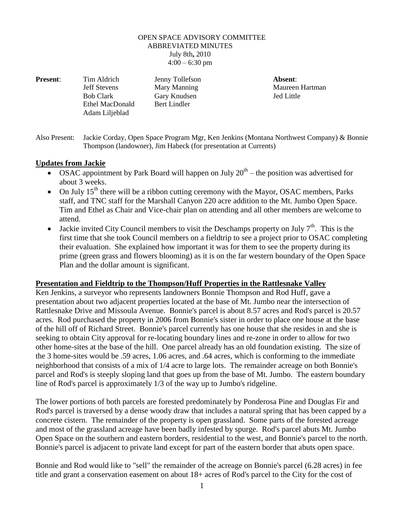## OPEN SPACE ADVISORY COMMITTEE ABBREVIATED MINUTES July 8th**,** 2010  $4:00 - 6:30$  pm

**Jeff Stevens** Mary Manning Maureen Hartman Bob Clark Gary Knudsen Jed Little Ethel MacDonald Bert Lindler Adam Liljeblad

**Present**: Tim Aldrich Jenny Tollefson **Absent**:

Also Present: Jackie Corday, Open Space Program Mgr, Ken Jenkins (Montana Northwest Company) & Bonnie Thompson (landowner), Jim Habeck (for presentation at Currents)

## **Updates from Jackie**

- OSAC appointment by Park Board will happen on July  $20<sup>th</sup>$  the position was advertised for about 3 weeks.
- On July  $15<sup>th</sup>$  there will be a ribbon cutting ceremony with the Mayor, OSAC members, Parks staff, and TNC staff for the Marshall Canyon 220 acre addition to the Mt. Jumbo Open Space. Tim and Ethel as Chair and Vice-chair plan on attending and all other members are welcome to attend.
- Jackie invited City Council members to visit the Deschamps property on July  $7<sup>th</sup>$ . This is the first time that she took Council members on a fieldtrip to see a project prior to OSAC completing their evaluation. She explained how important it was for them to see the property during its prime (green grass and flowers blooming) as it is on the far western boundary of the Open Space Plan and the dollar amount is significant.

## **Presentation and Fieldtrip to the Thompson/Huff Properties in the Rattlesnake Valley**

Ken Jenkins, a surveyor who represents landowners Bonnie Thompson and Rod Huff, gave a presentation about two adjacent properties located at the base of Mt. Jumbo near the intersection of Rattlesnake Drive and Missoula Avenue. Bonnie's parcel is about 8.57 acres and Rod's parcel is 20.57 acres. Rod purchased the property in 2006 from Bonnie's sister in order to place one house at the base of the hill off of Richard Street. Bonnie's parcel currently has one house that she resides in and she is seeking to obtain City approval for re-locating boundary lines and re-zone in order to allow for two other home-sites at the base of the hill. One parcel already has an old foundation existing. The size of the 3 home-sites would be .59 acres, 1.06 acres, and .64 acres, which is conforming to the immediate neighborhood that consists of a mix of 1/4 acre to large lots. The remainder acreage on both Bonnie's parcel and Rod's is steeply sloping land that goes up from the base of Mt. Jumbo. The eastern boundary line of Rod's parcel is approximately 1/3 of the way up to Jumbo's ridgeline.

The lower portions of both parcels are forested predominately by Ponderosa Pine and Douglas Fir and Rod's parcel is traversed by a dense woody draw that includes a natural spring that has been capped by a concrete cistern. The remainder of the property is open grassland. Some parts of the forested acreage and most of the grassland acreage have been badly infested by spurge. Rod's parcel abuts Mt. Jumbo Open Space on the southern and eastern borders, residential to the west, and Bonnie's parcel to the north. Bonnie's parcel is adjacent to private land except for part of the eastern border that abuts open space.

Bonnie and Rod would like to "sell" the remainder of the acreage on Bonnie's parcel (6.28 acres) in fee title and grant a conservation easement on about 18+ acres of Rod's parcel to the City for the cost of